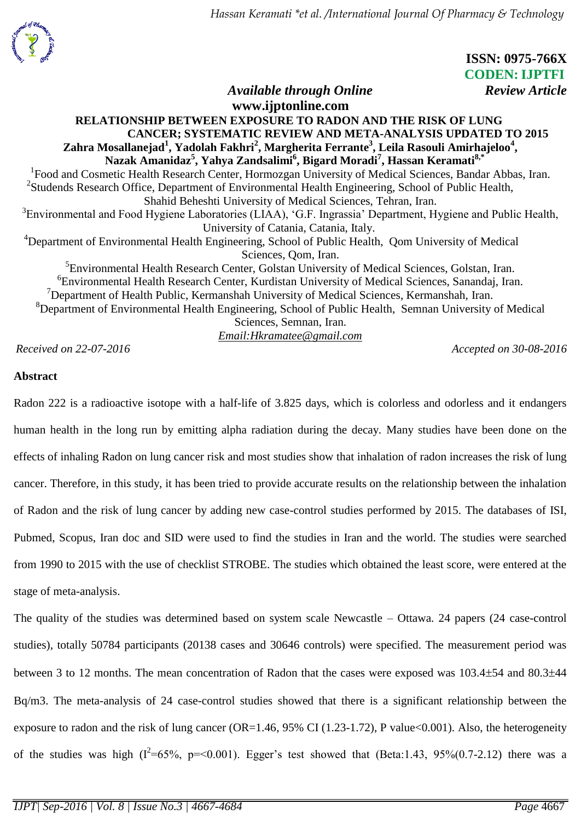

 **ISSN: 0975-766X CODEN: IJPTFI** *Available through Online* Review Article

## **www.ijptonline.com RELATIONSHIP BETWEEN EXPOSURE TO RADON AND THE RISK OF LUNG CANCER; SYSTEMATIC REVIEW AND META-ANALYSIS UPDATED TO 2015 Zahra Mosallanejad<sup>1</sup> , Yadolah Fakhri<sup>2</sup> , Margherita Ferrante<sup>3</sup> , Leila Rasouli Amirhajeloo<sup>4</sup> , Nazak Amanidaz<sup>5</sup> , Yahya Zandsalimi<sup>6</sup> , Bigard Moradi<sup>7</sup> , Hassan Keramati8,\*** <sup>1</sup>Food and Cosmetic Health Research Center, Hormozgan University of Medical Sciences, Bandar Abbas, Iran. <sup>2</sup>Studends Research Office, Department of Environmental Health Engineering, School of Public Health, Shahid Beheshti University of Medical Sciences, Tehran, Iran. <sup>3</sup> Environmental and Food Hygiene Laboratories (LIAA), 'G.F. Ingrassia' Department, Hygiene and Public Health, University of Catania, Catania, Italy. <sup>4</sup>Department of Environmental Health Engineering, School of Public Health, Oom University of Medical Sciences, Qom, Iran. <sup>5</sup> Environmental Health Research Center, Golstan University of Medical Sciences, Golstan, Iran. 6 Environmental Health Research Center, Kurdistan University of Medical Sciences, Sanandaj, Iran.  $7$ Department of Health Public, Kermanshah University of Medical Sciences, Kermanshah, Iran. <sup>8</sup>Department of Environmental Health Engineering, School of Public Health, Semnan University of Medical Sciences, Semnan, Iran. *Email:Hkramatee@gmail.com*

*Received on 22-07-2016 Accepted on 30-08-2016*

# **Abstract**

Radon 222 is a radioactive isotope with a half-life of 3.825 days, which is colorless and odorless and it endangers human health in the long run by emitting alpha radiation during the decay. Many studies have been done on the effects of inhaling Radon on lung cancer risk and most studies show that inhalation of radon increases the risk of lung cancer. Therefore, in this study, it has been tried to provide accurate results on the relationship between the inhalation of Radon and the risk of lung cancer by adding new case-control studies performed by 2015. The databases of ISI, Pubmed, Scopus, Iran doc and SID were used to find the studies in Iran and the world. The studies were searched from 1990 to 2015 with the use of checklist STROBE. The studies which obtained the least score, were entered at the stage of meta-analysis.

The quality of the studies was determined based on system scale Newcastle – Ottawa. 24 papers (24 case-control studies), totally 50784 participants (20138 cases and 30646 controls) were specified. The measurement period was between 3 to 12 months. The mean concentration of Radon that the cases were exposed was 103.4 $\pm$ 54 and 80.3 $\pm$ 44 Bq/m3. The meta-analysis of 24 case-control studies showed that there is a significant relationship between the exposure to radon and the risk of lung cancer (OR=1.46, 95% CI (1.23-1.72), P value<0.001). Also, the heterogeneity of the studies was high  $(I^2=65\%, p=<0.001)$ . Egger's test showed that (Beta:1.43, 95%(0.7-2.12) there was a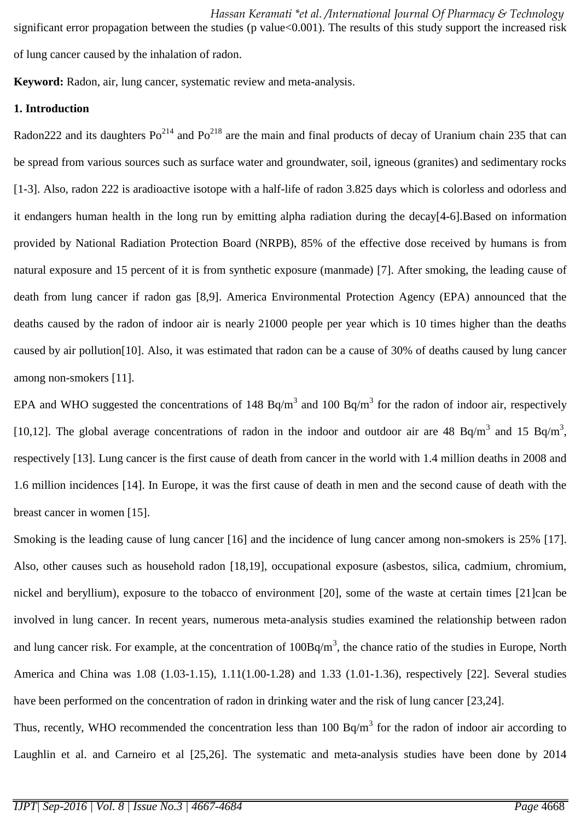significant error propagation between the studies (p value<0.001). The results of this study support the increased risk of lung cancer caused by the inhalation of radon.

**Keyword:** Radon, air, lung cancer, systematic review and meta-analysis.

## **1. Introduction**

Radon222 and its daughters  $Po^{214}$  and  $Po^{218}$  are the main and final products of decay of Uranium chain 235 that can be spread from various sources such as surface water and groundwater, soil, igneous (granites) and sedimentary rocks [1-3]. Also, radon 222 is aradioactive isotope with a half-life of radon 3.825 days which is colorless and odorless and it endangers human health in the long run by emitting alpha radiation during the decay[4-6].Based on information provided by National Radiation Protection Board (NRPB), 85% of the effective dose received by humans is from natural exposure and 15 percent of it is from synthetic exposure (manmade) [7]. After smoking, the leading cause of death from lung cancer if radon gas [8,9]. America Environmental Protection Agency (EPA) announced that the deaths caused by the radon of indoor air is nearly 21000 people per year which is 10 times higher than the deaths caused by air pollution[10]. Also, it was estimated that radon can be a cause of 30% of deaths caused by lung cancer among non-smokers [11].

EPA and WHO suggested the concentrations of 148 Bq/m<sup>3</sup> and 100 Bq/m<sup>3</sup> for the radon of indoor air, respectively [10,12]. The global average concentrations of radon in the indoor and outdoor air are 48 Bq/m<sup>3</sup> and 15 Bq/m<sup>3</sup>, respectively [13]. Lung cancer is the first cause of death from cancer in the world with 1.4 million deaths in 2008 and 1.6 million incidences [14]. In Europe, it was the first cause of death in men and the second cause of death with the breast cancer in women [15].

Smoking is the leading cause of lung cancer [16] and the incidence of lung cancer among non-smokers is 25% [17]. Also, other causes such as household radon [18,19], occupational exposure (asbestos, silica, cadmium, chromium, nickel and beryllium), exposure to the tobacco of environment [20], some of the waste at certain times [21]can be involved in lung cancer. In recent years, numerous meta-analysis studies examined the relationship between radon and lung cancer risk. For example, at the concentration of  $100Bq/m<sup>3</sup>$ , the chance ratio of the studies in Europe, North America and China was 1.08 (1.03-1.15), 1.11(1.00-1.28) and 1.33 (1.01-1.36), respectively [22]. Several studies have been performed on the concentration of radon in drinking water and the risk of lung cancer [23,24].

Thus, recently, WHO recommended the concentration less than  $100$  Bq/m<sup>3</sup> for the radon of indoor air according to Laughlin et al. and Carneiro et al [25,26]. The systematic and meta-analysis studies have been done by 2014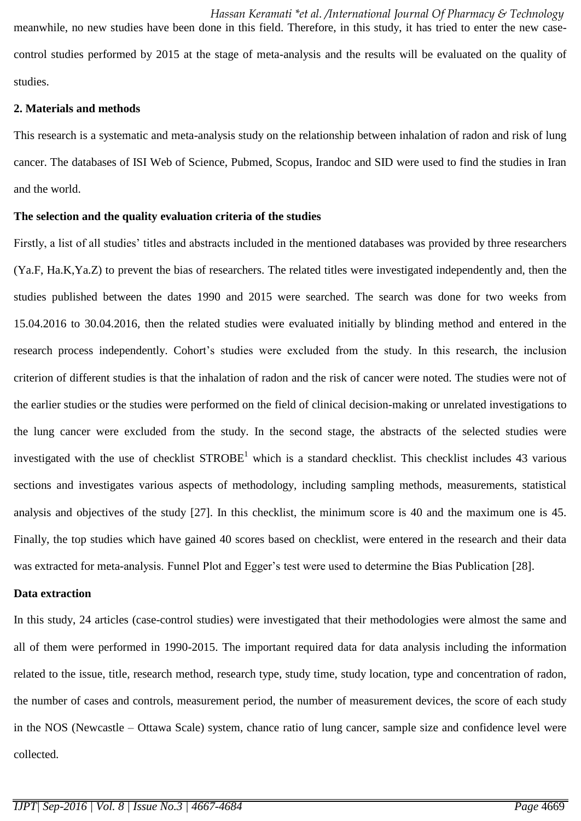*Hassan Keramati \*et al. /International Journal Of Pharmacy & Technology*  meanwhile, no new studies have been done in this field. Therefore, in this study, it has tried to enter the new casecontrol studies performed by 2015 at the stage of meta-analysis and the results will be evaluated on the quality of studies.

## **2. Materials and methods**

This research is a systematic and meta-analysis study on the relationship between inhalation of radon and risk of lung cancer. The databases of ISI Web of Science, Pubmed, Scopus, Irandoc and SID were used to find the studies in Iran and the world.

## **The selection and the quality evaluation criteria of the studies**

Firstly, a list of all studies' titles and abstracts included in the mentioned databases was provided by three researchers (Ya.F, Ha.K,Ya.Z) to prevent the bias of researchers. The related titles were investigated independently and, then the studies published between the dates 1990 and 2015 were searched. The search was done for two weeks from 15.04.2016 to 30.04.2016, then the related studies were evaluated initially by blinding method and entered in the research process independently. Cohort's studies were excluded from the study. In this research, the inclusion criterion of different studies is that the inhalation of radon and the risk of cancer were noted. The studies were not of the earlier studies or the studies were performed on the field of clinical decision-making or unrelated investigations to the lung cancer were excluded from the study. In the second stage, the abstracts of the selected studies were investigated with the use of checklist  $STROBE<sup>1</sup>$  which is a standard checklist. This checklist includes 43 various sections and investigates various aspects of methodology, including sampling methods, measurements, statistical analysis and objectives of the study [27]. In this checklist, the minimum score is 40 and the maximum one is 45. Finally, the top studies which have gained 40 scores based on checklist, were entered in the research and their data was extracted for meta-analysis. Funnel Plot and Egger's test were used to determine the Bias Publication [28].

### **Data extraction**

In this study, 24 articles (case-control studies) were investigated that their methodologies were almost the same and all of them were performed in 1990-2015. The important required data for data analysis including the information related to the issue, title, research method, research type, study time, study location, type and concentration of radon, the number of cases and controls, measurement period, the number of measurement devices, the score of each study in the NOS (Newcastle – Ottawa Scale) system, chance ratio of lung cancer, sample size and confidence level were collected.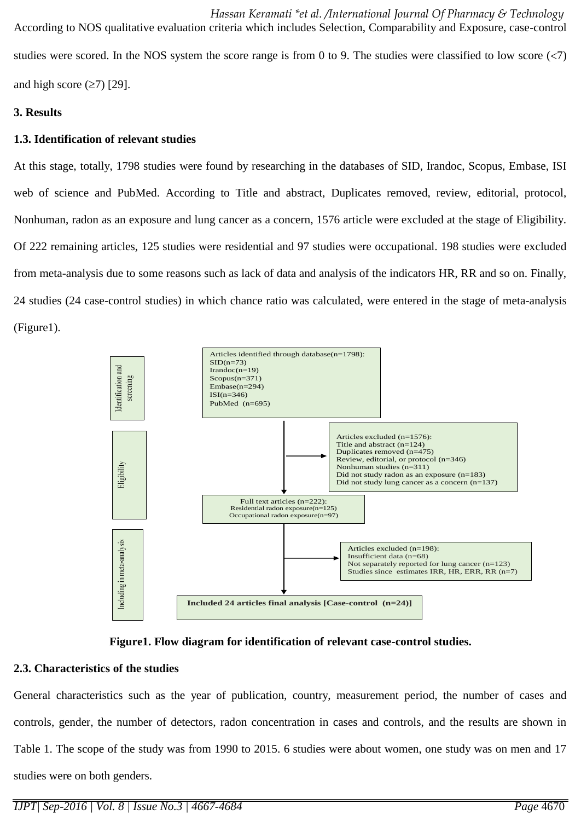*Hassan Keramati \*et al. /International Journal Of Pharmacy & Technology*  According to NOS qualitative evaluation criteria which includes Selection, Comparability and Exposure, case-control studies were scored. In the NOS system the score range is from 0 to 9. The studies were classified to low score  $\langle$ 7) and high score  $(\geq 7)$  [29].

# **3. Results**

# **1.3. Identification of relevant studies**

At this stage, totally, 1798 studies were found by researching in the databases of SID, Irandoc, Scopus, Embase, ISI web of science and PubMed. According to Title and abstract, Duplicates removed, review, editorial, protocol, Nonhuman, radon as an exposure and lung cancer as a concern, 1576 article were excluded at the stage of Eligibility. Of 222 remaining articles, 125 studies were residential and 97 studies were occupational. 198 studies were excluded from meta-analysis due to some reasons such as lack of data and analysis of the indicators HR, RR and so on. Finally, 24 studies (24 case-control studies) in which chance ratio was calculated, were entered in the stage of meta-analysis (Figure1).





# **2.3. Characteristics of the studies**

General characteristics such as the year of publication, country, measurement period, the number of cases and controls, gender, the number of detectors, radon concentration in cases and controls, and the results are shown in Table 1. The scope of the study was from 1990 to 2015. 6 studies were about women, one study was on men and 17 studies were on both genders.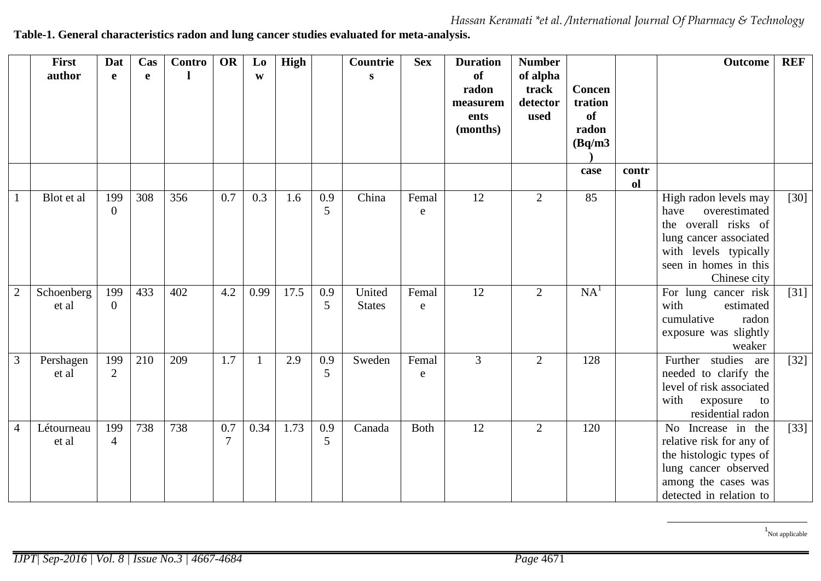*Hassan Keramati \*et al. /International Journal Of Pharmacy & Technology* 

**Table-1. General characteristics radon and lung cancer studies evaluated for meta-analysis.**

|                | <b>First</b><br>author | Dat<br>e              | Cas<br>$\mathbf{e}$ | Contro | OR            | L <sub>0</sub><br>W | <b>High</b> |          | Countrie<br>S           | <b>Sex</b>         | <b>Duration</b><br><b>of</b><br>radon<br>measurem<br>ents<br>(months) | <b>Number</b><br>of alpha<br>track<br>detector<br>used | <b>Concen</b><br>tration<br><b>of</b><br>radon<br>(Bq/m3)<br>case | contr<br>ol | <b>Outcome</b>                                                                                                                                                     | <b>REF</b>         |
|----------------|------------------------|-----------------------|---------------------|--------|---------------|---------------------|-------------|----------|-------------------------|--------------------|-----------------------------------------------------------------------|--------------------------------------------------------|-------------------------------------------------------------------|-------------|--------------------------------------------------------------------------------------------------------------------------------------------------------------------|--------------------|
|                | Blot et al             | 199<br>$\overline{0}$ | 308                 | 356    | 0.7           | 0.3                 | 1.6         | 0.9<br>5 | China                   | Femal<br>e         | 12                                                                    | $\mathbf{2}$                                           | 85                                                                |             | High radon levels may<br>overestimated<br>have<br>the overall risks of<br>lung cancer associated<br>with levels typically<br>seen in homes in this<br>Chinese city | $\lceil 30 \rceil$ |
| $\overline{2}$ | Schoenberg<br>et al    | 199<br>$\overline{0}$ | 433                 | 402    | 4.2           | 0.99                | 17.5        | 0.9<br>5 | United<br><b>States</b> | Femal<br>${\bf e}$ | 12                                                                    | $\overline{2}$                                         | NA <sup>1</sup>                                                   |             | For lung cancer risk<br>with<br>estimated<br>cumulative<br>radon<br>exposure was slightly<br>weaker                                                                | $[31]$             |
| 3              | Pershagen<br>et al     | 199<br>$\overline{2}$ | 210                 | 209    | 1.7           | 1                   | 2.9         | 0.9<br>5 | Sweden                  | Femal<br>${\bf e}$ | 3                                                                     | $\mathbf{2}$                                           | 128                                                               |             | Further studies<br>are<br>needed to clarify the<br>level of risk associated<br>with<br>exposure<br>to<br>residential radon                                         | $[32]$             |
| $\overline{4}$ | Létourneau<br>et al    | 199<br>$\overline{4}$ | 738                 | 738    | 0.7<br>$\tau$ | 0.34                | 1.73        | 0.9<br>5 | Canada                  | <b>Both</b>        | 12                                                                    | $\overline{2}$                                         | 120                                                               |             | No Increase in the<br>relative risk for any of<br>the histologic types of<br>lung cancer observed<br>among the cases was<br>detected in relation to                | $[33]$             |

1 Not applicable

 $\overline{\phantom{a}}$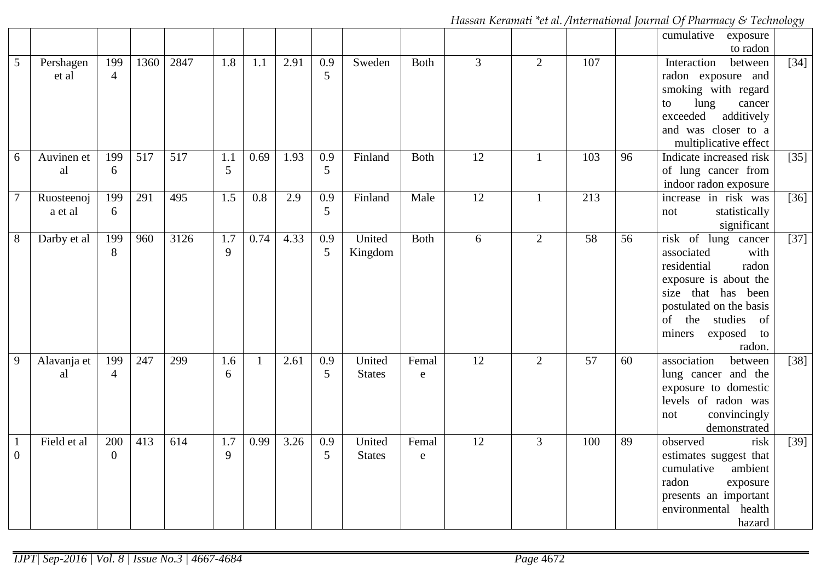*Hassan Keramati \*et al. /International Journal Of Pharmacy & Technology* 

|                |                       |                       |                  |                  |                       |              |      |          |                         |                      |                 |                |                 |    | cumulative<br>exposure<br>to radon                                                                                                                                                                       |              |
|----------------|-----------------------|-----------------------|------------------|------------------|-----------------------|--------------|------|----------|-------------------------|----------------------|-----------------|----------------|-----------------|----|----------------------------------------------------------------------------------------------------------------------------------------------------------------------------------------------------------|--------------|
| $\overline{5}$ | Pershagen<br>et al    | 199<br>$\overline{4}$ | 1360             | 2847             | 1.8                   | 1.1          | 2.91 | 0.9<br>5 | Sweden                  | <b>Both</b>          | $\overline{3}$  | $\overline{2}$ | 107             |    | Interaction<br>between<br>radon exposure and<br>smoking with regard<br>lung<br>cancer<br>to<br>exceeded<br>additively<br>and was closer to a<br>multiplicative effect                                    | $[34]$       |
| 6              | Auvinen et<br>al      | 199<br>6              | $\overline{517}$ | $\overline{517}$ | 1.1<br>$\overline{5}$ | 0.69         | 1.93 | 0.9<br>5 | Finland                 | <b>Both</b>          | $\overline{12}$ | $\mathbf{1}$   | 103             | 96 | Indicate increased risk<br>of lung cancer from<br>indoor radon exposure                                                                                                                                  | $[35]$       |
| $\tau$         | Ruosteenoj<br>a et al | 199<br>6              | 291              | 495              | 1.5                   | 0.8          | 2.9  | 0.9<br>5 | Finland                 | Male                 | $\overline{12}$ | $\mathbf{1}$   | 213             |    | increase in risk was<br>statistically<br>not<br>significant                                                                                                                                              | $\boxed{36}$ |
| 8              | Darby et al           | 199<br>8              | 960              | 3126             | 1.7<br>9              | 0.74         | 4.33 | 0.9<br>5 | United<br>Kingdom       | <b>Both</b>          | 6               | $\overline{2}$ | 58              | 56 | risk of lung cancer<br>associated<br>with<br>residential<br>radon<br>exposure is about the<br>size that has been<br>postulated on the basis<br>of the studies<br>of<br>exposed<br>miners<br>to<br>radon. | [37]         |
| $\overline{9}$ | Alavanja et<br>al     | 199<br>$\overline{4}$ | 247              | 299              | 1.6<br>6              | $\mathbf{1}$ | 2.61 | 0.9<br>5 | United<br><b>States</b> | Femal<br>$\mathbf e$ | $\overline{12}$ | $\overline{2}$ | $\overline{57}$ | 60 | association<br>between<br>lung cancer and the<br>exposure to domestic<br>levels of radon was<br>convincingly<br>not<br>demonstrated                                                                      | $[38]$       |
| $\overline{0}$ | Field et al           | 200<br>$\overline{0}$ | 413              | 614              | 1.7<br>9              | 0.99         | 3.26 | 0.9<br>5 | United<br><b>States</b> | Femal<br>${\bf e}$   | $\overline{12}$ | $\overline{3}$ | 100             | 89 | observed<br>risk<br>estimates suggest that<br>cumulative<br>ambient<br>radon<br>exposure<br>presents an important<br>environmental health<br>hazard                                                      | $[39]$       |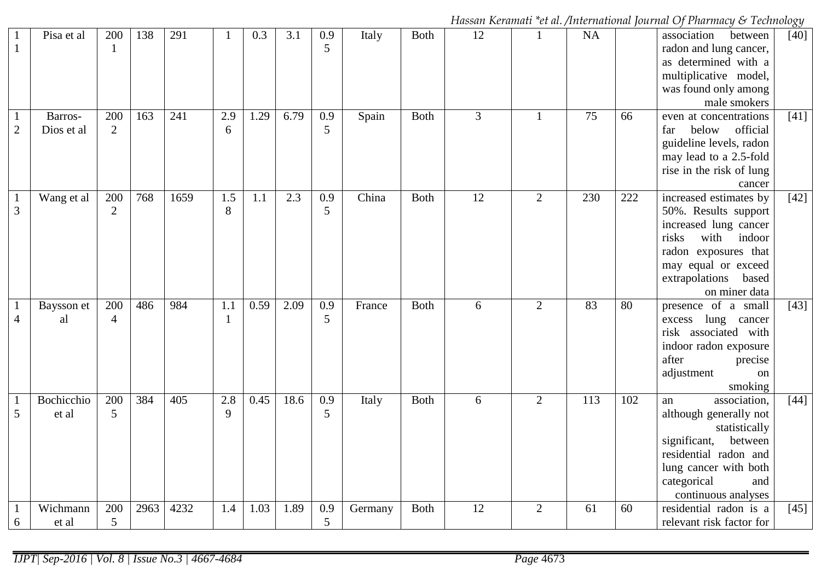*Hassan Keramati \*et al. /International Journal Of Pharmacy & Technology* 

| $\mathbf{1}$      | Pisa et al            | 200<br>$\mathbf{1}$   | 138  | 291  | 1                   | 0.3  | 3.1  | 0.9<br>5 | Italy   | <b>Both</b> | 12 | $\mathbf{1}$   | NA  |     | association<br>between<br>radon and lung cancer,<br>as determined with a<br>multiplicative model,<br>was found only among<br>male smokers                                                     | $[40]$ |
|-------------------|-----------------------|-----------------------|------|------|---------------------|------|------|----------|---------|-------------|----|----------------|-----|-----|-----------------------------------------------------------------------------------------------------------------------------------------------------------------------------------------------|--------|
| $\overline{2}$    | Barros-<br>Dios et al | 200<br>$\overline{2}$ | 163  | 241  | 2.9<br>6            | 1.29 | 6.79 | 0.9<br>5 | Spain   | <b>Both</b> | 3  | $\mathbf{1}$   | 75  | 66  | even at concentrations<br>official<br>below<br>far<br>guideline levels, radon<br>may lead to a 2.5-fold<br>rise in the risk of lung<br>cancer                                                 | $[41]$ |
| 3                 | Wang et al            | 200<br>2              | 768  | 1659 | 1.5<br>8            | 1.1  | 2.3  | 0.9<br>5 | China   | <b>Both</b> | 12 | 2              | 230 | 222 | increased estimates by<br>50%. Results support<br>increased lung cancer<br>with<br>indoor<br>risks<br>radon exposures that<br>may equal or exceed<br>extrapolations<br>based<br>on miner data | $[42]$ |
| $\overline{4}$    | Baysson et<br>al      | 200<br>$\overline{4}$ | 486  | 984  | 1.1<br>$\mathbf{1}$ | 0.59 | 2.09 | 0.9<br>5 | France  | <b>Both</b> | 6  | $\overline{2}$ | 83  | 80  | presence of a small<br>lung cancer<br>excess<br>risk associated with<br>indoor radon exposure<br>after<br>precise<br>adjustment<br>on<br>smoking                                              | $[43]$ |
| $\mathbf{1}$<br>5 | Bochicchio<br>et al   | 200<br>5              | 384  | 405  | 2.8<br>9            | 0.45 | 18.6 | 0.9<br>5 | Italy   | <b>Both</b> | 6  | $\overline{2}$ | 113 | 102 | association,<br>an<br>although generally not<br>statistically<br>significant,<br>between<br>residential radon and<br>lung cancer with both<br>categorical<br>and<br>continuous analyses       | $[44]$ |
| 6                 | Wichmann<br>et al     | 200<br>5              | 2963 | 4232 | 1.4                 | 1.03 | 1.89 | 0.9<br>5 | Germany | <b>Both</b> | 12 | 2              | 61  | 60  | residential radon is a<br>relevant risk factor for                                                                                                                                            | $[45]$ |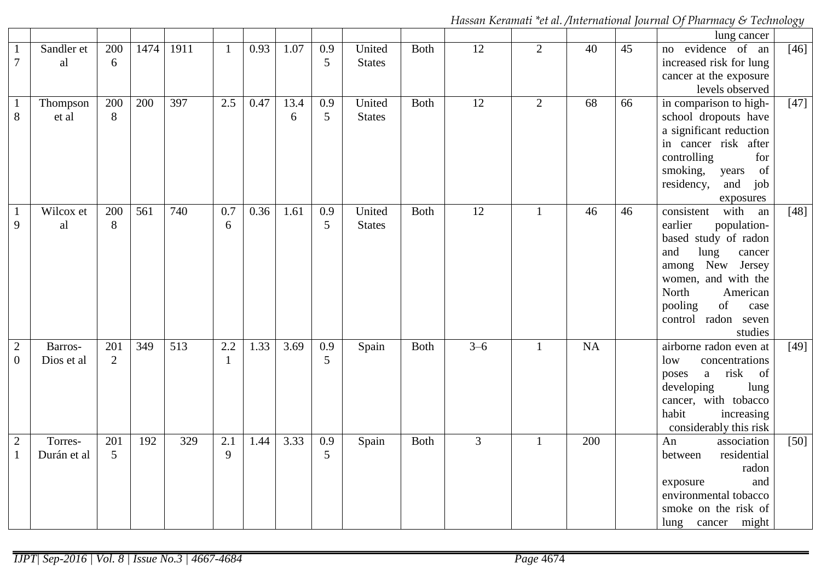*Hassan Keramati \*et al. /International Journal Of Pharmacy & Technology* 

|                                  |                        |                       |                  |                  |              |      |           |                       |                         |             |                 |                |     |    | lung cancer                                                                                                                                                                                                                       |        |
|----------------------------------|------------------------|-----------------------|------------------|------------------|--------------|------|-----------|-----------------------|-------------------------|-------------|-----------------|----------------|-----|----|-----------------------------------------------------------------------------------------------------------------------------------------------------------------------------------------------------------------------------------|--------|
| $\mathbf{1}$<br>$\overline{7}$   | Sandler et<br>al       | 200<br>6              | 1474             | 1911             | $\mathbf{1}$ | 0.93 | 1.07      | 0.9<br>5              | United<br><b>States</b> | <b>Both</b> | 12              | $\overline{2}$ | 40  | 45 | evidence of an<br>no<br>increased risk for lung<br>cancer at the exposure<br>levels observed                                                                                                                                      | $[46]$ |
| $\mathbf{1}$<br>8                | Thompson<br>et al      | 200<br>8              | 200              | 397              | 2.5          | 0.47 | 13.4<br>6 | 0.9<br>5              | United<br><b>States</b> | <b>Both</b> | 12              | $\overline{2}$ | 68  | 66 | in comparison to high-<br>school dropouts have<br>a significant reduction<br>in cancer risk after<br>controlling<br>for<br>smoking,<br>of<br>years<br>residency,<br>and<br>job<br>exposures                                       | $[47]$ |
| $\mathbf{1}$<br>9                | Wilcox et<br>al        | 200<br>8              | $\overline{561}$ | 740              | 0.7<br>6     | 0.36 | 1.61      | 0.9<br>5              | United<br><b>States</b> | <b>Both</b> | $\overline{12}$ | 1              | 46  | 46 | with<br>consistent<br>an<br>earlier<br>population-<br>based study of radon<br>and<br>lung<br>cancer<br>among New<br>Jersey<br>women, and with the<br>North<br>American<br>pooling<br>of<br>case<br>control radon seven<br>studies | $[48]$ |
| $\mathbf{2}$<br>$\boldsymbol{0}$ | Barros-<br>Dios et al  | 201<br>$\overline{2}$ | 349              | $\overline{513}$ | 2.2<br>1     | 1.33 | 3.69      | $\overline{0.9}$<br>5 | Spain                   | <b>Both</b> | $3 - 6$         | $\mathbf{1}$   | NA  |    | airborne radon even at<br>low<br>concentrations<br>risk<br><sub>of</sub><br>a<br>poses<br>developing<br>lung<br>cancer, with tobacco<br>habit<br>increasing<br>considerably this risk                                             | $[49]$ |
| $\sqrt{2}$<br>$\mathbf{1}$       | Torres-<br>Durán et al | 201<br>5              | 192              | 329              | 2.1<br>9     | 1.44 | 3.33      | 0.9<br>5              | Spain                   | <b>Both</b> | $\overline{3}$  | 1              | 200 |    | An<br>association<br>residential<br>between<br>radon<br>and<br>exposure<br>environmental tobacco<br>smoke on the risk of<br>lung cancer might                                                                                     | $[50]$ |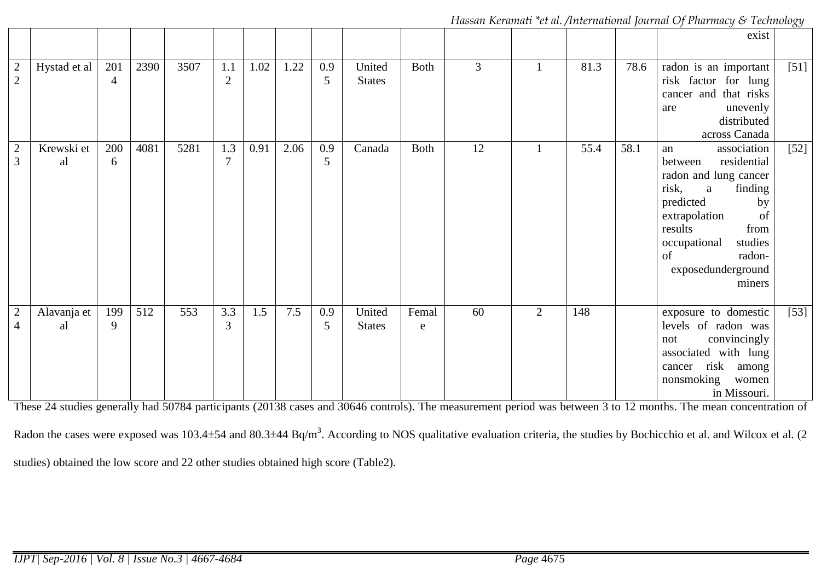*Hassan Keramati \*et al. /International Journal Of Pharmacy & Technology* 

|                                  |                   |                       |      |      |                       |      |      |          |                         |             |    |                |      |      | exist                                                                                                                                                                                                                                            |        |
|----------------------------------|-------------------|-----------------------|------|------|-----------------------|------|------|----------|-------------------------|-------------|----|----------------|------|------|--------------------------------------------------------------------------------------------------------------------------------------------------------------------------------------------------------------------------------------------------|--------|
| $\frac{2}{2}$                    | Hystad et al      | 201<br>$\overline{4}$ | 2390 | 3507 | 1.1<br>$\sqrt{2}$     | 1.02 | 1.22 | 0.9<br>5 | United<br><b>States</b> | <b>Both</b> | 3  |                | 81.3 | 78.6 | radon is an important<br>risk factor for lung<br>cancer and that risks<br>unevenly<br>are<br>distributed<br>across Canada                                                                                                                        | $[51]$ |
| $\overline{2}$<br>3              | Krewski et<br>al  | 200<br>6              | 4081 | 5281 | 1.3<br>$\overline{7}$ | 0.91 | 2.06 | 0.9<br>5 | Canada                  | <b>Both</b> | 12 |                | 55.4 | 58.1 | association<br>an<br>residential<br>between<br>radon and lung cancer<br>risk,<br>finding<br>$\mathbf{a}$<br>predicted<br>by<br>extrapolation<br>of<br>results<br>from<br>studies<br>occupational<br>radon-<br>of<br>exposedunderground<br>miners | $[52]$ |
| $\overline{2}$<br>$\overline{4}$ | Alavanja et<br>al | 199<br>9              | 512  | 553  | 3.3<br>3              | 1.5  | 7.5  | 0.9<br>5 | United<br><b>States</b> | Femal<br>e  | 60 | $\overline{2}$ | 148  |      | exposure to domestic<br>levels of radon was<br>convincingly<br>not<br>associated with lung<br>risk<br>among<br>cancer<br>nonsmoking<br>women<br>in Missouri.                                                                                     | $[53]$ |
|                                  |                   |                       |      |      |                       |      |      |          |                         |             |    |                |      |      | These 24 studies generally had 50784 participants (20138 cases and 30646 controls). The measurement period was between 3 to 12 months. The mean concentration of                                                                                 |        |

Radon the cases were exposed was  $103.4\pm54$  and  $80.3\pm44$  Bq/m<sup>3</sup>. According to NOS qualitative evaluation criteria, the studies by Bochicchio et al. and Wilcox et al. (2) studies) obtained the low score and 22 other studies obtained high score (Table2).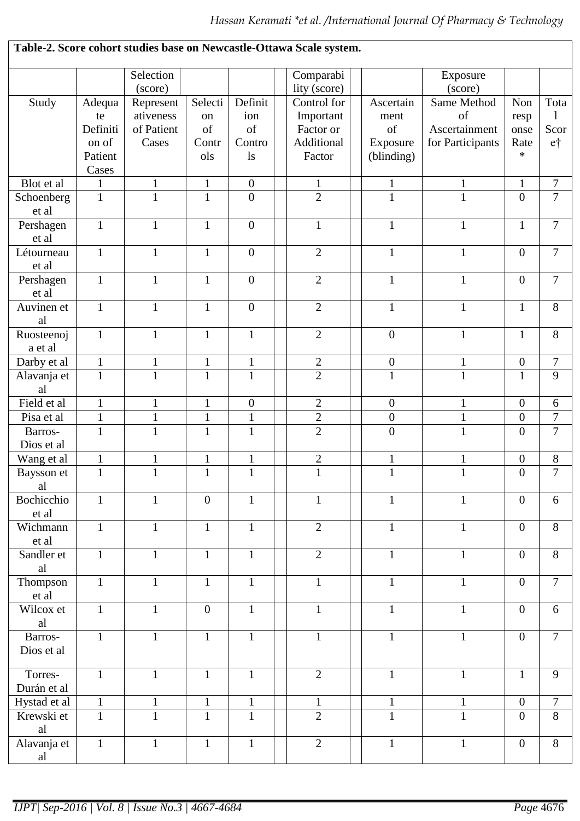|              |              |              |                |                  | Table-2. Score cohort studies base on Newcastle-Ottawa Scale system. |                  |                  |                  |                |
|--------------|--------------|--------------|----------------|------------------|----------------------------------------------------------------------|------------------|------------------|------------------|----------------|
|              |              | Selection    |                |                  | Comparabi                                                            |                  | Exposure         |                  |                |
|              |              | (score)      |                |                  | lity (score)                                                         |                  | (score)          |                  |                |
| Study        | Adequa       | Represent    | Selecti        | Definit          | Control for                                                          | Ascertain        | Same Method      | Non              | Tota           |
|              | te           | ativeness    | on             | ion              | Important                                                            | ment             | of               | resp             | 1              |
|              | Definiti     | of Patient   | of             | of               | Factor or                                                            | of               | Ascertainment    | onse             | Scor           |
|              | on of        | Cases        | Contr          | Contro           | Additional                                                           | Exposure         | for Participants | Rate             | $e^+$          |
|              | Patient      |              | ols            | $\log$           | Factor                                                               | (blinding)       |                  | $\ast$           |                |
|              | Cases        |              |                |                  |                                                                      |                  |                  |                  |                |
| Blot et al   | $\mathbf{1}$ | $\mathbf{1}$ | $\mathbf{1}$   | $\boldsymbol{0}$ | $\mathbf{1}$                                                         | $\mathbf{1}$     | $\mathbf{1}$     | $\mathbf{1}$     | $\tau$         |
| Schoenberg   | $\mathbf{1}$ | $\mathbf{1}$ | $\mathbf{1}$   | $\overline{0}$   | $\overline{2}$                                                       | $\mathbf{1}$     | $\mathbf{1}$     | $\overline{0}$   | $\overline{7}$ |
| et al        |              |              |                |                  |                                                                      |                  |                  |                  |                |
|              | $\mathbf{1}$ | $\mathbf{1}$ | $\mathbf{1}$   | $\boldsymbol{0}$ | $\mathbf{1}$                                                         | $\mathbf{1}$     | $\mathbf{1}$     | $\mathbf{1}$     | 7              |
| Pershagen    |              |              |                |                  |                                                                      |                  |                  |                  |                |
| et al        |              |              |                |                  | $\overline{2}$                                                       |                  |                  |                  | $\overline{7}$ |
| Létourneau   | $\mathbf{1}$ | $\mathbf{1}$ | $\mathbf{1}$   | $\boldsymbol{0}$ |                                                                      | $\mathbf{1}$     | $\mathbf{1}$     | $\boldsymbol{0}$ |                |
| et al        |              |              |                |                  |                                                                      |                  |                  |                  |                |
| Pershagen    | $\mathbf{1}$ | $\mathbf{1}$ | $\mathbf{1}$   | $\overline{0}$   | $\overline{2}$                                                       | $\mathbf{1}$     | $\mathbf{1}$     | $\mathbf{0}$     | $\overline{7}$ |
| et al        |              |              |                |                  |                                                                      |                  |                  |                  |                |
| Auvinen et   | $\mathbf{1}$ | $\mathbf{1}$ | $\mathbf{1}$   | $\boldsymbol{0}$ | $\overline{2}$                                                       | $\mathbf{1}$     | $\mathbf{1}$     | $\mathbf{1}$     | $8\,$          |
| al           |              |              |                |                  |                                                                      |                  |                  |                  |                |
| Ruosteenoj   | $\mathbf{1}$ | $\mathbf{1}$ | $\mathbf{1}$   | $\mathbf{1}$     | $\overline{2}$                                                       | $\boldsymbol{0}$ | $\mathbf{1}$     | $\mathbf{1}$     | 8              |
| a et al      |              |              |                |                  |                                                                      |                  |                  |                  |                |
| Darby et al  | $\mathbf{1}$ | $\mathbf{1}$ | $\mathbf{1}$   | $\mathbf 1$      | $\overline{2}$                                                       | $\boldsymbol{0}$ | $\mathbf{1}$     | $\boldsymbol{0}$ | $\overline{7}$ |
| Alavanja et  | $\mathbf{1}$ | $\mathbf{1}$ | $\mathbf{1}$   | $\mathbf{1}$     | $\overline{2}$                                                       | $\mathbf{1}$     | $\mathbf{1}$     | $\mathbf{1}$     | 9              |
| al           |              |              |                |                  |                                                                      |                  |                  |                  |                |
| Field et al  | $\mathbf{1}$ | $\mathbf{1}$ | $\mathbf{1}$   | $\boldsymbol{0}$ | $\sqrt{2}$                                                           | $\boldsymbol{0}$ | $\mathbf{1}$     | $\boldsymbol{0}$ | 6              |
| Pisa et al   | $\mathbf{1}$ | $\mathbf{1}$ | $\mathbf{1}$   | $\mathbf{1}$     | $\overline{2}$                                                       | $\boldsymbol{0}$ | $\mathbf{1}$     | $\boldsymbol{0}$ | $\overline{7}$ |
| Barros-      | $\mathbf{1}$ | $\mathbf{1}$ | $\mathbf{1}$   | $\mathbf{1}$     | $\overline{2}$                                                       | $\overline{0}$   | $\mathbf{1}$     | $\overline{0}$   | $\overline{7}$ |
| Dios et al   |              |              |                |                  |                                                                      |                  |                  |                  |                |
| Wang et al   | $\mathbf{1}$ | $\mathbf{1}$ | $\mathbf{1}$   | $\mathbf{1}$     | $\mathbf{2}$                                                         | $\mathbf 1$      | $\mathbf{1}$     | $\boldsymbol{0}$ | $8\,$          |
| Baysson et   | $\mathbf{1}$ | $\mathbf{1}$ | $\mathbf{1}$   | $\mathbf{1}$     | $\mathbf{1}$                                                         | $\mathbf{1}$     | $\mathbf{1}$     | $\overline{0}$   | $\overline{7}$ |
| al           |              |              |                |                  |                                                                      |                  |                  |                  |                |
| Bochicchio   | $\mathbf{1}$ | $\mathbf{1}$ | $\overline{0}$ | $\mathbf{1}$     | $\mathbf{1}$                                                         | $\mathbf{1}$     | $\mathbf{1}$     | $\overline{0}$   | 6              |
| et al        |              |              |                |                  |                                                                      |                  |                  |                  |                |
| Wichmann     | $\mathbf{1}$ | $\mathbf{1}$ | $\mathbf{1}$   | $\mathbf{1}$     | $\overline{2}$                                                       | $\mathbf{1}$     | $\mathbf{1}$     | $\mathbf{0}$     | 8              |
| et al        |              |              |                |                  |                                                                      |                  |                  |                  |                |
| Sandler et   | $\mathbf{1}$ | $\mathbf{1}$ | $\mathbf{1}$   | $\mathbf{1}$     | $\overline{2}$                                                       | $\mathbf{1}$     | $\mathbf{1}$     | $\overline{0}$   | 8              |
| al           |              |              |                |                  |                                                                      |                  |                  |                  |                |
| Thompson     | $\mathbf{1}$ | $\mathbf{1}$ | $\mathbf{1}$   | $\mathbf{1}$     | $\mathbf{1}$                                                         | $\mathbf{1}$     | $\mathbf{1}$     | $\overline{0}$   | $\overline{7}$ |
| et al        |              |              |                |                  |                                                                      |                  |                  |                  |                |
| Wilcox et    | $\mathbf{1}$ | $\mathbf{1}$ | $\mathbf{0}$   | $\mathbf{1}$     | $\mathbf{1}$                                                         | $\mathbf{1}$     | $\mathbf{1}$     | $\mathbf{0}$     | 6              |
| al           |              |              |                |                  |                                                                      |                  |                  |                  |                |
| Barros-      | $\mathbf{1}$ | $\mathbf{1}$ | $\mathbf{1}$   | $\mathbf{1}$     | $\mathbf{1}$                                                         | $\mathbf{1}$     | $\mathbf{1}$     | $\mathbf{0}$     | $\overline{7}$ |
| Dios et al   |              |              |                |                  |                                                                      |                  |                  |                  |                |
|              |              |              |                |                  |                                                                      |                  |                  |                  |                |
| Torres-      | $\mathbf{1}$ | $\mathbf{1}$ | $\mathbf{1}$   | $\mathbf{1}$     | $\overline{2}$                                                       | $\mathbf{1}$     | $\mathbf{1}$     | $\mathbf{1}$     | 9              |
| Durán et al  |              |              |                |                  |                                                                      |                  |                  |                  |                |
| Hystad et al | $\mathbf{1}$ | $\mathbf{1}$ | $\mathbf{1}$   | $\mathbf{1}$     | $\mathbf{1}$                                                         | $\mathbf{1}$     | $\mathbf{1}$     | $\mathbf{0}$     | $\overline{7}$ |
| Krewski et   | $\mathbf{1}$ | $\mathbf{1}$ | $\mathbf{1}$   | $\mathbf{1}$     | $\overline{2}$                                                       | $\mathbf{1}$     | $\mathbf{1}$     | $\theta$         | 8              |
| al           |              |              |                |                  |                                                                      |                  |                  |                  |                |
| Alavanja et  | $\mathbf{1}$ | $\mathbf{1}$ | $\mathbf{1}$   | $\mathbf{1}$     | $\overline{2}$                                                       | $\mathbf{1}$     | $\mathbf{1}$     | $\mathbf{0}$     | 8              |
| al           |              |              |                |                  |                                                                      |                  |                  |                  |                |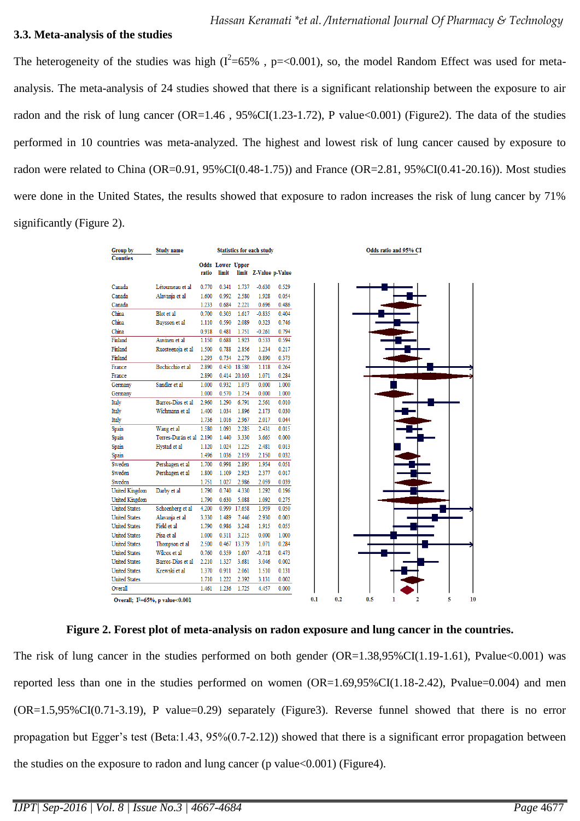#### **3.3. Meta-analysis of the studies**

The heterogeneity of the studies was high  $(I^2=65\%$  , p=<0.001), so, the model Random Effect was used for metaanalysis. The meta-analysis of 24 studies showed that there is a significant relationship between the exposure to air radon and the risk of lung cancer ( $OR=1.46$ ,  $95\% CI(1.23-1.72)$ , P value $<0.001$ ) (Figure2). The data of the studies performed in 10 countries was meta-analyzed. The highest and lowest risk of lung cancer caused by exposure to radon were related to China (OR=0.91, 95%CI(0.48-1.75)) and France (OR=2.81, 95%CI(0.41-20.16)). Most studies were done in the United States, the results showed that exposure to radon increases the risk of lung cancer by 71% significantly (Figure 2).

| <b>Group by</b>      | <b>Study name</b>                     |       |                                  |              | <b>Statistics for each study</b> |       |
|----------------------|---------------------------------------|-------|----------------------------------|--------------|----------------------------------|-------|
| <b>Counties</b>      |                                       |       |                                  |              |                                  |       |
|                      |                                       | ratio | <b>Odds Lower Upper</b><br>limit |              | limit Z-Value p-Value            |       |
|                      |                                       |       |                                  |              |                                  |       |
| Canada               | Létourneau et al                      | 0.770 | 0.341                            | 1.737        | $-0.630$                         | 0.529 |
| Canada               | Alavanja et al                        | 1.600 | 0.992                            | 2.580        | 1.928                            | 0.054 |
| Canada               |                                       | 1.233 | 0.684                            | 2.221        | 0.696                            | 0.486 |
| China                | Blot et al                            | 0.700 | 0.303                            | 1.617        | $-0.835$                         | 0.404 |
| China                | Baysson et al                         | 1.110 | 0.590                            | 2.089        | 0.323                            | 0.746 |
| China                |                                       | 0.918 | 0.481                            | 1.751        | $-0.261$                         | 0.794 |
| Finland              | Auvinen et al                         | 1.150 | 0.688                            | 1.923        | 0.533                            | 0.594 |
| Finland              | Ruosteenoja et al                     | 1.500 | 0.788                            | 2.856        | 1.234                            | 0.217 |
| Finland              |                                       | 1.293 | 0.734                            | 2.279        | 0.890                            | 0.373 |
| France               | Bochicchio et al                      | 2.890 |                                  | 0.450 18.580 | 1.118                            | 0.264 |
| France               |                                       | 2.890 |                                  | 0.414 20.163 | 1.071                            | 0.284 |
| Germany              | Sandler et al                         | 1.000 | 0.932                            | 1.073        | 0.000                            | 1.000 |
| Germany              |                                       | 1.000 | 0.570                            | 1.754        | 0.000                            | 1.000 |
| Italy                | Barros-Dios et al                     | 2.960 | 1.290                            | 6.791        | 2.561                            | 0.010 |
| Italy                | Wichmann et al                        | 1.400 | 1.034                            | 1.896        | 2.173                            | 0.030 |
| Italy                |                                       | 1.736 | 1.016                            | 2.967        | 2.017                            | 0.044 |
| Spain                | Wang et al                            | 1.580 | 1.093                            | 2.285        | 2.431                            | 0.015 |
| Spain                | Torres-Durán et al 2.190              |       | 1.440                            | 3.330        | 3.665                            | 0.000 |
|                      |                                       | 1.120 | 1.024                            | 1.225        | 2.481                            | 0.013 |
| Spain                | Hystad et al                          |       |                                  |              |                                  |       |
| Spain                |                                       | 1.496 | 1.036                            | 2.159        | 2.150                            | 0.032 |
| Sweden               | Pershagen et al                       | 1.700 | 0.998                            | 2.895        | 1.954                            | 0.051 |
| Sweden               | Pershagen et al                       | 1.800 | 1.109                            | 2.923        | 2.377                            | 0.017 |
| Sweden               |                                       | 1.751 | 1.027                            | 2.986        | 2.059                            | 0.039 |
| United Kingdom       | Darby et al                           | 1.790 | 0.740                            | 4.330        | 1.292                            | 0.196 |
| United Kingdom       |                                       | 1.790 | 0.630                            | 5.088        | 1.092                            | 0.275 |
| <b>United States</b> | Schoenberg et al                      | 4.200 | 0.999                            | 17.658       | 1.959                            | 0.050 |
| <b>United States</b> | Alavanja et al                        | 3.330 | 1.489                            | 7.446        | 2.930                            | 0.003 |
| <b>United States</b> | Field et al                           | 1.790 | 0.986                            | 3.248        | 1.915                            | 0.055 |
| <b>United States</b> | Pisa et al                            | 1.000 | 0.311                            | 3.215        | 0.000                            | 1.000 |
| <b>United States</b> | Thompson et al                        | 2.500 |                                  | 0.467 13.379 | 1.071                            | 0.284 |
| <b>United States</b> | Wilcox et al                          | 0.760 | 0.359                            | 1.607        | $-0.718$                         | 0.473 |
| <b>United States</b> | Barros-Dios et al                     | 2.210 | 1.327                            | 3.681        | 3.046                            | 0.002 |
| <b>United States</b> | Krewski et al                         | 1.370 | 0.911                            | 2.061        | 1.510                            | 0.131 |
| <b>United States</b> |                                       | 1.710 | 1.222                            | 2.392        | 3.131                            | 0.002 |
| Overall              |                                       | 1.461 | 1.236                            | 1.725        | 4.457                            | 0.000 |
|                      | Overall; $I^2 = 65\%$ , p value<0.001 |       |                                  |              |                                  |       |

**Figure 2. Forest plot of meta-analysis on radon exposure and lung cancer in the countries.**

The risk of lung cancer in the studies performed on both gender  $(OR=1.38,95\% CI(1.19-1.61)$ , Pvalue $<0.001$ ) was reported less than one in the studies performed on women  $(OR=1.69,95\% CI(1.18-2.42), Pvalue=0.004)$  and men (OR=1.5,95%CI(0.71-3.19), P value=0.29) separately (Figure3). Reverse funnel showed that there is no error propagation but Egger's test (Beta:1.43, 95%(0.7-2.12)) showed that there is a significant error propagation between the studies on the exposure to radon and lung cancer (p value  $< 0.001$ ) (Figure 4).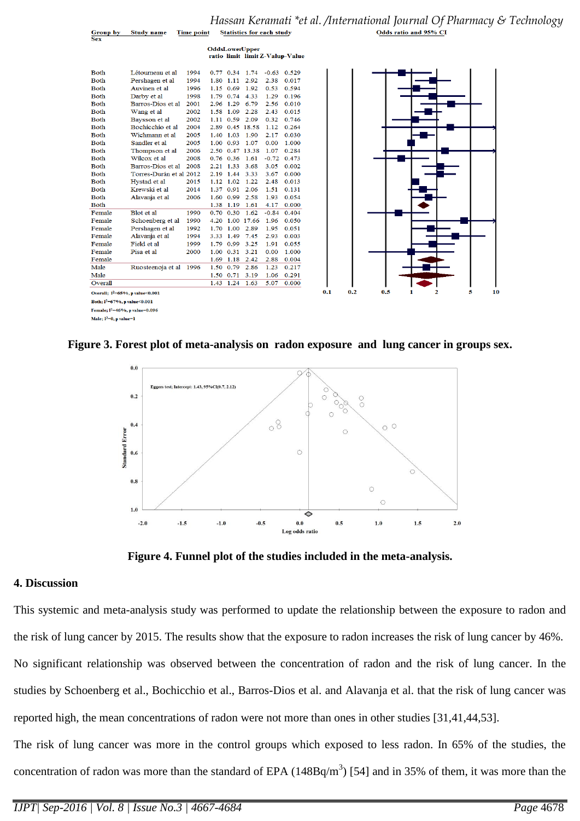|                                       |                         |      |      |                      | <b>OddsLowerUpper</b> |         | ratio limit limit Z-Valup-Value |     |  |     |     |  |  |
|---------------------------------------|-------------------------|------|------|----------------------|-----------------------|---------|---------------------------------|-----|--|-----|-----|--|--|
| <b>Both</b>                           | Létourneau et al        | 1994 |      |                      | 0.77 0.34 1.74        |         | $-0.63$ 0.529                   |     |  |     |     |  |  |
| <b>Both</b>                           | Pershagen et al         | 1994 |      | 1.80 1.11 2.92       |                       | 2.38    | 0.017                           |     |  |     |     |  |  |
| <b>Both</b>                           | Auvinen et al           | 1996 |      | 1.15 0.69 1.92       |                       | 0.53    | 0.594                           |     |  |     |     |  |  |
| <b>Both</b>                           | Darby et al             | 1998 |      | 1.79 0.74 4.33       |                       | 1.29    | 0.196                           |     |  |     |     |  |  |
| <b>Both</b>                           | Barros-Dios et al       | 2001 |      | 2.96 1.29 6.79       |                       | 2.56    | 0.010                           |     |  |     |     |  |  |
| <b>Both</b>                           | Wang et al              | 2002 | 1.58 | 1.09                 | 2.28                  | 2.43    | 0.015                           |     |  |     |     |  |  |
| <b>Both</b>                           | Baysson et al           | 2002 |      | 1.11 0.59 2.09       |                       | 0.32    | 0.746                           |     |  |     |     |  |  |
| <b>Both</b>                           | Bochicchio et al        | 2004 |      |                      | 2.89 0.45 18.58       | 1.12    | 0.264                           |     |  |     |     |  |  |
| <b>Both</b>                           | Wichmann et al          | 2005 |      | 1.40 1.03 1.90       |                       | 2.17    | 0.030                           |     |  |     |     |  |  |
| <b>Both</b>                           | Sandler et al           | 2005 | 1.00 | 0.93 1.07            |                       | 0.00    | 1.000                           |     |  |     |     |  |  |
| <b>Both</b>                           | Thompson et al          | 2006 |      |                      | 2.50 0.47 13.38       | 1.07    | 0.284                           |     |  |     |     |  |  |
| <b>Both</b>                           | Wilcox et al            | 2008 |      | $0.76$ $0.36$ $1.61$ |                       | $-0.72$ | 0.473                           |     |  |     |     |  |  |
| <b>Both</b>                           | Barros-Dios et al       | 2008 |      | 2.21 1.33 3.68       |                       | 3.05    | 0.002                           |     |  |     |     |  |  |
| <b>Both</b>                           | Torres-Durán et al 2012 |      |      | 2.19 1.44 3.33       |                       | 3.67    | 0.000                           |     |  |     |     |  |  |
| <b>Both</b>                           | Hystad et al            | 2015 |      | 1.12 1.02            | 1.22                  | 2.48    | 0.013                           |     |  |     |     |  |  |
| <b>Both</b>                           | Krewski et al           | 2014 |      | 1.37 0.91 2.06       |                       | 1.51    | 0.131                           |     |  |     |     |  |  |
| <b>Both</b>                           | Alavanja et al          | 2006 | 1.60 | $0.99$ 2.58          |                       | 1.93    | 0.054                           |     |  |     |     |  |  |
| <b>Both</b>                           |                         |      |      | 1.38 1.19 1.61       |                       | 4.17    | 0.000                           |     |  |     |     |  |  |
| Female                                | Blot et al.             | 1990 | 0.70 | 0.30                 | 1.62                  | $-0.84$ | 0.404                           |     |  |     |     |  |  |
| Female                                | Schoenberg et al        | 1990 | 4.20 |                      | 1.00 17.66            | 1.96    | 0.050                           |     |  |     |     |  |  |
| Female                                | Pershagen et al         | 1992 | 1.70 | 1.00                 | 2.89                  | 1.95    | 0.051                           |     |  |     |     |  |  |
| Female                                | Alavanja et al          | 1994 | 3.33 | 1.49 7.45            |                       | 2.93    | 0.003                           |     |  |     |     |  |  |
| Female                                | Field et al             | 1999 |      | 1.79 0.99            | 3.25                  | 1.91    | 0.055                           |     |  |     |     |  |  |
| Female                                | Pisa et al              | 2000 | 1.00 | $0.31$ 3.21          |                       | 0.00    | 1.000                           |     |  |     |     |  |  |
| Female                                |                         |      | 1.69 | 1.18 2.42            |                       | 2.88    | 0.004                           |     |  |     |     |  |  |
| Male                                  | Ruosteenoja et al 1996  |      |      | 1.50 0.79 2.86       |                       | 1.23    | 0.217                           |     |  |     |     |  |  |
| Male                                  |                         |      |      | 1.50 0.71 3.19       |                       | 1.06    | 0.291                           |     |  |     |     |  |  |
| Overall                               |                         |      |      | 1.43 1.24            | 1.63                  | 5.07    | 0.000                           |     |  |     |     |  |  |
| Overall; $I^2 = 65\%$ , p value<0.001 |                         |      |      |                      |                       |         |                                 | 0.1 |  | 0.2 | 0.5 |  |  |
| Both; $I^2 = 67\%$ , p value<0.001    |                         |      |      |                      |                       |         |                                 |     |  |     |     |  |  |

Female;  $I^2=46\%$ , p value=0.096

Male:  $I^2=0$ , p value=1

 $\frac{Group\;by}{Sum}$ 

**Study name** 

**Figure 3. Forest plot of meta-analysis on radon exposure and lung cancer in groups sex.**



**Figure 4. Funnel plot of the studies included in the meta-analysis.**

#### **4. Discussion**

This systemic and meta-analysis study was performed to update the relationship between the exposure to radon and the risk of lung cancer by 2015. The results show that the exposure to radon increases the risk of lung cancer by 46%. No significant relationship was observed between the concentration of radon and the risk of lung cancer. In the

studies by Schoenberg et al., Bochicchio et al., Barros-Dios et al. and Alavanja et al. that the risk of lung cancer was

reported high, the mean concentrations of radon were not more than ones in other studies [31,41,44,53].

The risk of lung cancer was more in the control groups which exposed to less radon. In 65% of the studies, the concentration of radon was more than the standard of EPA  $(148Bq/m<sup>3</sup>)$  [54] and in 35% of them, it was more than the

 $\overline{10}$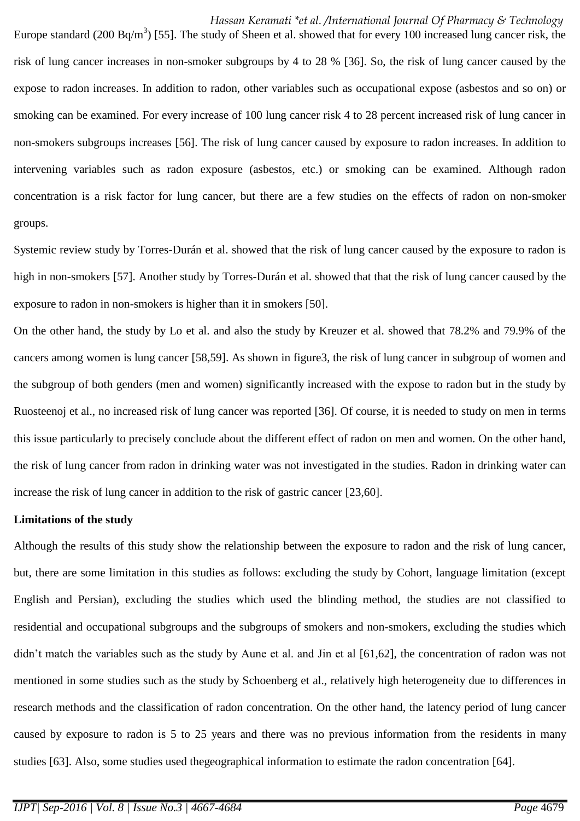#### *Hassan Keramati \*et al. /International Journal Of Pharmacy & Technology*

Europe standard (200 Bq/m<sup>3</sup>) [55]. The study of Sheen et al. showed that for every 100 increased lung cancer risk, the risk of lung cancer increases in non-smoker subgroups by 4 to 28 % [36]. So, the risk of lung cancer caused by the expose to radon increases. In addition to radon, other variables such as occupational expose (asbestos and so on) or smoking can be examined. For every increase of 100 lung cancer risk 4 to 28 percent increased risk of lung cancer in non-smokers subgroups increases [56]. The risk of lung cancer caused by exposure to radon increases. In addition to intervening variables such as radon exposure (asbestos, etc.) or smoking can be examined. Although radon concentration is a risk factor for lung cancer, but there are a few studies on the effects of radon on non-smoker groups.

Systemic review study by Torres-Durán et al. showed that the risk of lung cancer caused by the exposure to radon is high in non-smokers [57]. Another study by Torres-Durán et al. showed that that the risk of lung cancer caused by the exposure to radon in non-smokers is higher than it in smokers [50].

On the other hand, the study by Lo et al. and also the study by Kreuzer et al. showed that 78.2% and 79.9% of the cancers among women is lung cancer [58,59]. As shown in figure3, the risk of lung cancer in subgroup of women and the subgroup of both genders (men and women) significantly increased with the expose to radon but in the study by Ruosteenoj et al., no increased risk of lung cancer was reported [36]. Of course, it is needed to study on men in terms this issue particularly to precisely conclude about the different effect of radon on men and women. On the other hand, the risk of lung cancer from radon in drinking water was not investigated in the studies. Radon in drinking water can increase the risk of lung cancer in addition to the risk of gastric cancer [23,60].

#### **Limitations of the study**

Although the results of this study show the relationship between the exposure to radon and the risk of lung cancer, but, there are some limitation in this studies as follows: excluding the study by Cohort, language limitation (except English and Persian), excluding the studies which used the blinding method, the studies are not classified to residential and occupational subgroups and the subgroups of smokers and non-smokers, excluding the studies which didn't match the variables such as the study by Aune et al. and Jin et al [61,62], the concentration of radon was not mentioned in some studies such as the study by Schoenberg et al., relatively high heterogeneity due to differences in research methods and the classification of radon concentration. On the other hand, the latency period of lung cancer caused by exposure to radon is 5 to 25 years and there was no previous information from the residents in many studies [63]. Also, some studies used thegeographical information to estimate the radon concentration [64].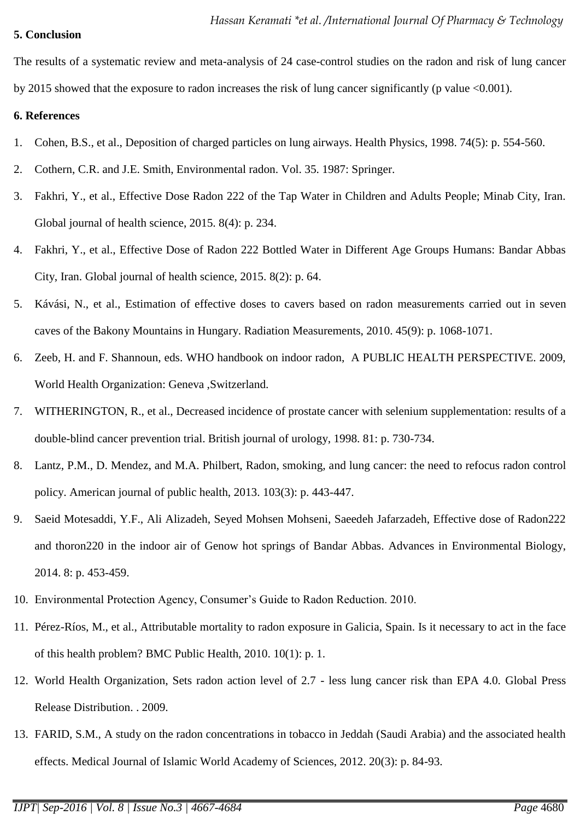## **5. Conclusion**

The results of a systematic review and meta-analysis of 24 case-control studies on the radon and risk of lung cancer by 2015 showed that the exposure to radon increases the risk of lung cancer significantly (p value <0.001).

## **6. References**

- 1. Cohen, B.S., et al., Deposition of charged particles on lung airways. Health Physics, 1998. 74(5): p. 554-560.
- 2. Cothern, C.R. and J.E. Smith, Environmental radon. Vol. 35. 1987: Springer.
- 3. Fakhri, Y., et al., Effective Dose Radon 222 of the Tap Water in Children and Adults People; Minab City, Iran. Global journal of health science, 2015. 8(4): p. 234.
- 4. Fakhri, Y., et al., Effective Dose of Radon 222 Bottled Water in Different Age Groups Humans: Bandar Abbas City, Iran. Global journal of health science, 2015. 8(2): p. 64.
- 5. Kávási, N., et al., Estimation of effective doses to cavers based on radon measurements carried out in seven caves of the Bakony Mountains in Hungary. Radiation Measurements, 2010. 45(9): p. 1068-1071.
- 6. Zeeb, H. and F. Shannoun, eds. WHO handbook on indoor radon, A PUBLIC HEALTH PERSPECTIVE. 2009, World Health Organization: Geneva ,Switzerland.
- 7. WITHERINGTON, R., et al., Decreased incidence of prostate cancer with selenium supplementation: results of a double-blind cancer prevention trial. British journal of urology, 1998. 81: p. 730-734.
- 8. Lantz, P.M., D. Mendez, and M.A. Philbert, Radon, smoking, and lung cancer: the need to refocus radon control policy. American journal of public health, 2013. 103(3): p. 443-447.
- 9. Saeid Motesaddi, Y.F., Ali Alizadeh, Seyed Mohsen Mohseni, Saeedeh Jafarzadeh, Effective dose of Radon222 and thoron220 in the indoor air of Genow hot springs of Bandar Abbas. Advances in Environmental Biology, 2014. 8: p. 453-459.
- 10. Environmental Protection Agency, Consumer's Guide to Radon Reduction. 2010.
- 11. Pérez-Ríos, M., et al., Attributable mortality to radon exposure in Galicia, Spain. Is it necessary to act in the face of this health problem? BMC Public Health, 2010. 10(1): p. 1.
- 12. World Health Organization, Sets radon action level of 2.7 less lung cancer risk than EPA 4.0. Global Press Release Distribution. . 2009.
- 13. FARID, S.M., A study on the radon concentrations in tobacco in Jeddah (Saudi Arabia) and the associated health effects. Medical Journal of Islamic World Academy of Sciences, 2012. 20(3): p. 84-93.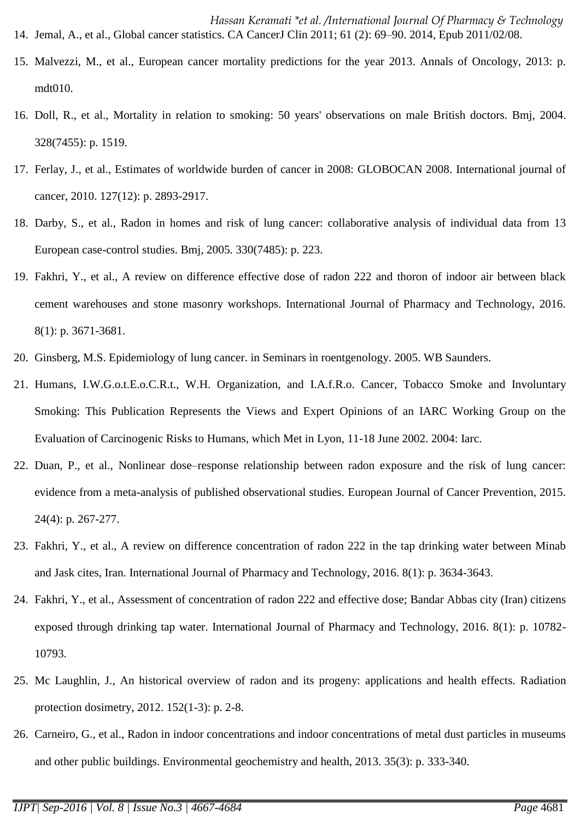- 15. Malvezzi, M., et al., European cancer mortality predictions for the year 2013. Annals of Oncology, 2013: p. mdt010.
- 16. Doll, R., et al., Mortality in relation to smoking: 50 years' observations on male British doctors. Bmj, 2004. 328(7455): p. 1519.
- 17. Ferlay, J., et al., Estimates of worldwide burden of cancer in 2008: GLOBOCAN 2008. International journal of cancer, 2010. 127(12): p. 2893-2917.
- 18. Darby, S., et al., Radon in homes and risk of lung cancer: collaborative analysis of individual data from 13 European case-control studies. Bmj, 2005. 330(7485): p. 223.
- 19. Fakhri, Y., et al., A review on difference effective dose of radon 222 and thoron of indoor air between black cement warehouses and stone masonry workshops. International Journal of Pharmacy and Technology, 2016. 8(1): p. 3671-3681.
- 20. Ginsberg, M.S. Epidemiology of lung cancer. in Seminars in roentgenology. 2005. WB Saunders.
- 21. Humans, I.W.G.o.t.E.o.C.R.t., W.H. Organization, and I.A.f.R.o. Cancer, Tobacco Smoke and Involuntary Smoking: This Publication Represents the Views and Expert Opinions of an IARC Working Group on the Evaluation of Carcinogenic Risks to Humans, which Met in Lyon, 11-18 June 2002. 2004: Iarc.
- 22. Duan, P., et al., Nonlinear dose–response relationship between radon exposure and the risk of lung cancer: evidence from a meta-analysis of published observational studies. European Journal of Cancer Prevention, 2015. 24(4): p. 267-277.
- 23. Fakhri, Y., et al., A review on difference concentration of radon 222 in the tap drinking water between Minab and Jask cites, Iran. International Journal of Pharmacy and Technology, 2016. 8(1): p. 3634-3643.
- 24. Fakhri, Y., et al., Assessment of concentration of radon 222 and effective dose; Bandar Abbas city (Iran) citizens exposed through drinking tap water. International Journal of Pharmacy and Technology, 2016. 8(1): p. 10782- 10793.
- 25. Mc Laughlin, J., An historical overview of radon and its progeny: applications and health effects. Radiation protection dosimetry, 2012. 152(1-3): p. 2-8.
- 26. Carneiro, G., et al., Radon in indoor concentrations and indoor concentrations of metal dust particles in museums and other public buildings. Environmental geochemistry and health, 2013. 35(3): p. 333-340.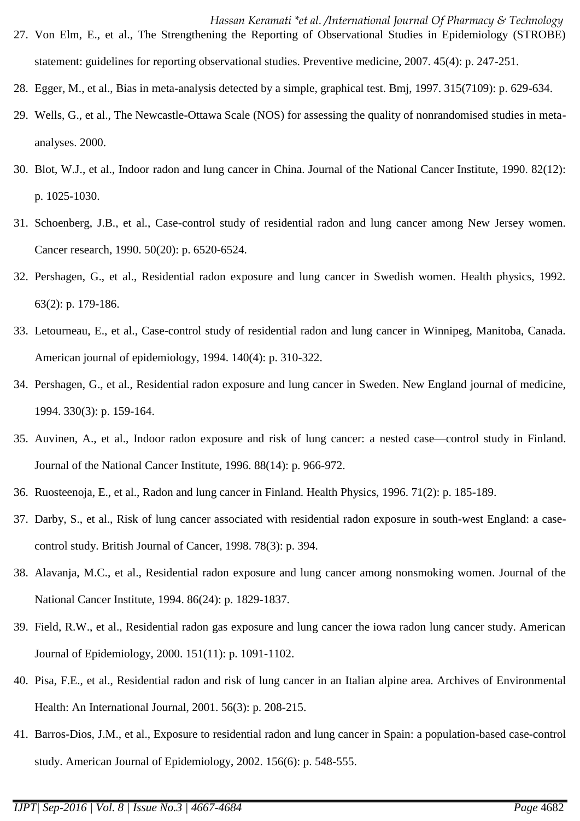- *Hassan Keramati \*et al. /International Journal Of Pharmacy & Technology*  27. Von Elm, E., et al., The Strengthening the Reporting of Observational Studies in Epidemiology (STROBE) statement: guidelines for reporting observational studies. Preventive medicine, 2007. 45(4): p. 247-251.
- 28. Egger, M., et al., Bias in meta-analysis detected by a simple, graphical test. Bmj, 1997. 315(7109): p. 629-634.
- 29. Wells, G., et al., The Newcastle-Ottawa Scale (NOS) for assessing the quality of nonrandomised studies in metaanalyses. 2000.
- 30. Blot, W.J., et al., Indoor radon and lung cancer in China. Journal of the National Cancer Institute, 1990. 82(12): p. 1025-1030.
- 31. Schoenberg, J.B., et al., Case-control study of residential radon and lung cancer among New Jersey women. Cancer research, 1990. 50(20): p. 6520-6524.
- 32. Pershagen, G., et al., Residential radon exposure and lung cancer in Swedish women. Health physics, 1992. 63(2): p. 179-186.
- 33. Letourneau, E., et al., Case-control study of residential radon and lung cancer in Winnipeg, Manitoba, Canada. American journal of epidemiology, 1994. 140(4): p. 310-322.
- 34. Pershagen, G., et al., Residential radon exposure and lung cancer in Sweden. New England journal of medicine, 1994. 330(3): p. 159-164.
- 35. Auvinen, A., et al., Indoor radon exposure and risk of lung cancer: a nested case—control study in Finland. Journal of the National Cancer Institute, 1996. 88(14): p. 966-972.
- 36. Ruosteenoja, E., et al., Radon and lung cancer in Finland. Health Physics, 1996. 71(2): p. 185-189.
- 37. Darby, S., et al., Risk of lung cancer associated with residential radon exposure in south-west England: a casecontrol study. British Journal of Cancer, 1998. 78(3): p. 394.
- 38. Alavanja, M.C., et al., Residential radon exposure and lung cancer among nonsmoking women. Journal of the National Cancer Institute, 1994. 86(24): p. 1829-1837.
- 39. Field, R.W., et al., Residential radon gas exposure and lung cancer the iowa radon lung cancer study. American Journal of Epidemiology, 2000. 151(11): p. 1091-1102.
- 40. Pisa, F.E., et al., Residential radon and risk of lung cancer in an Italian alpine area. Archives of Environmental Health: An International Journal, 2001. 56(3): p. 208-215.
- 41. Barros-Dios, J.M., et al., Exposure to residential radon and lung cancer in Spain: a population-based case-control study. American Journal of Epidemiology, 2002. 156(6): p. 548-555.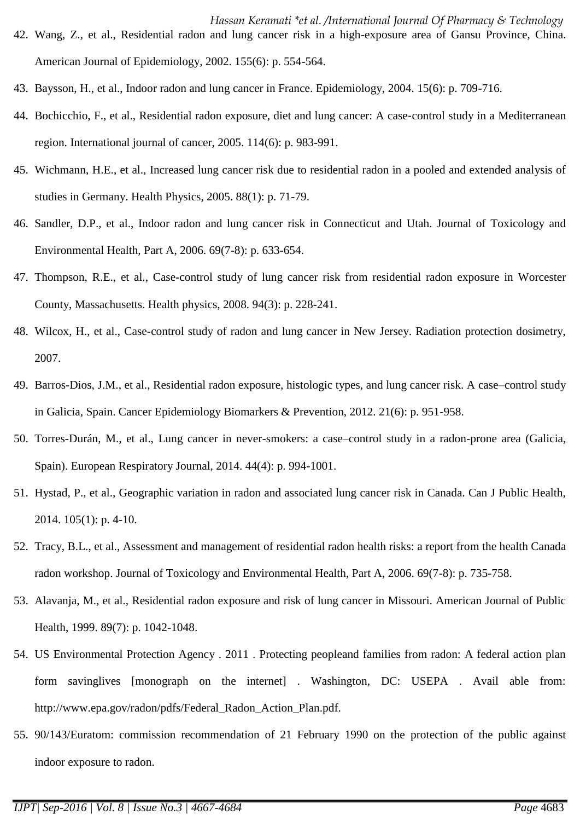- *Hassan Keramati \*et al. /International Journal Of Pharmacy & Technology*  42. Wang, Z., et al., Residential radon and lung cancer risk in a high-exposure area of Gansu Province, China. American Journal of Epidemiology, 2002. 155(6): p. 554-564.
- 43. Baysson, H., et al., Indoor radon and lung cancer in France. Epidemiology, 2004. 15(6): p. 709-716.
- 44. Bochicchio, F., et al., Residential radon exposure, diet and lung cancer: A case‐control study in a Mediterranean region. International journal of cancer, 2005. 114(6): p. 983-991.
- 45. Wichmann, H.E., et al., Increased lung cancer risk due to residential radon in a pooled and extended analysis of studies in Germany. Health Physics, 2005. 88(1): p. 71-79.
- 46. Sandler, D.P., et al., Indoor radon and lung cancer risk in Connecticut and Utah. Journal of Toxicology and Environmental Health, Part A, 2006. 69(7-8): p. 633-654.
- 47. Thompson, R.E., et al., Case-control study of lung cancer risk from residential radon exposure in Worcester County, Massachusetts. Health physics, 2008. 94(3): p. 228-241.
- 48. Wilcox, H., et al., Case-control study of radon and lung cancer in New Jersey. Radiation protection dosimetry, 2007.
- 49. Barros-Dios, J.M., et al., Residential radon exposure, histologic types, and lung cancer risk. A case–control study in Galicia, Spain. Cancer Epidemiology Biomarkers & Prevention, 2012. 21(6): p. 951-958.
- 50. Torres-Durán, M., et al., Lung cancer in never-smokers: a case–control study in a radon-prone area (Galicia, Spain). European Respiratory Journal, 2014. 44(4): p. 994-1001.
- 51. Hystad, P., et al., Geographic variation in radon and associated lung cancer risk in Canada. Can J Public Health, 2014. 105(1): p. 4-10.
- 52. Tracy, B.L., et al., Assessment and management of residential radon health risks: a report from the health Canada radon workshop. Journal of Toxicology and Environmental Health, Part A, 2006. 69(7-8): p. 735-758.
- 53. Alavanja, M., et al., Residential radon exposure and risk of lung cancer in Missouri. American Journal of Public Health, 1999. 89(7): p. 1042-1048.
- 54. US Environmental Protection Agency . 2011 . Protecting peopleand families from radon: A federal action plan form savinglives [monograph on the internet] . Washington, DC: USEPA . Avail able from: http://www.epa.gov/radon/pdfs/Federal\_Radon\_Action\_Plan.pdf.
- 55. 90/143/Euratom: commission recommendation of 21 February 1990 on the protection of the public against indoor exposure to radon.